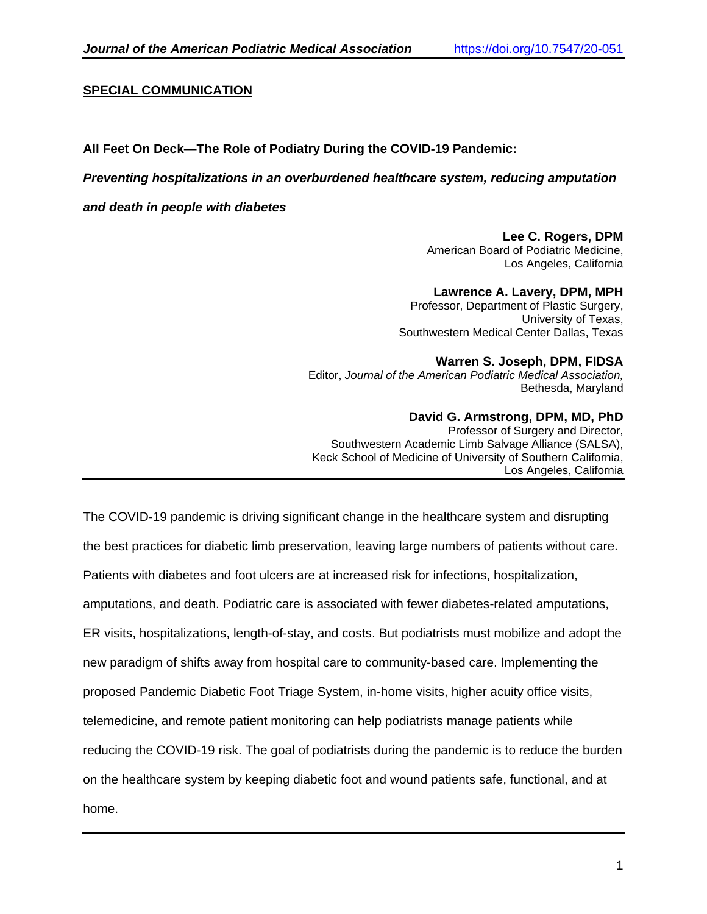## **SPECIAL COMMUNICATION**

## **All Feet On Deck—The Role of Podiatry During the COVID-19 Pandemic:**

### *Preventing hospitalizations in an overburdened healthcare system, reducing amputation*

*and death in people with diabetes*

# **Lee C. Rogers, DPM**

American Board of Podiatric Medicine, Los Angeles, California

#### **Lawrence A. Lavery, DPM, MPH**

Professor, Department of Plastic Surgery, University of Texas, Southwestern Medical Center Dallas, Texas

#### **Warren S. Joseph, DPM, FIDSA**

Editor, *Journal of the American Podiatric Medical Association,* Bethesda, Maryland

#### **David G. Armstrong, DPM, MD, PhD**

Professor of Surgery and Director, Southwestern Academic Limb Salvage Alliance (SALSA), Keck School of Medicine of University of Southern California, Los Angeles, California

The COVID-19 pandemic is driving significant change in the healthcare system and disrupting the best practices for diabetic limb preservation, leaving large numbers of patients without care. Patients with diabetes and foot ulcers are at increased risk for infections, hospitalization, amputations, and death. Podiatric care is associated with fewer diabetes-related amputations, ER visits, hospitalizations, length-of-stay, and costs. But podiatrists must mobilize and adopt the new paradigm of shifts away from hospital care to community-based care. Implementing the proposed Pandemic Diabetic Foot Triage System, in-home visits, higher acuity office visits, telemedicine, and remote patient monitoring can help podiatrists manage patients while reducing the COVID-19 risk. The goal of podiatrists during the pandemic is to reduce the burden on the healthcare system by keeping diabetic foot and wound patients safe, functional, and at home.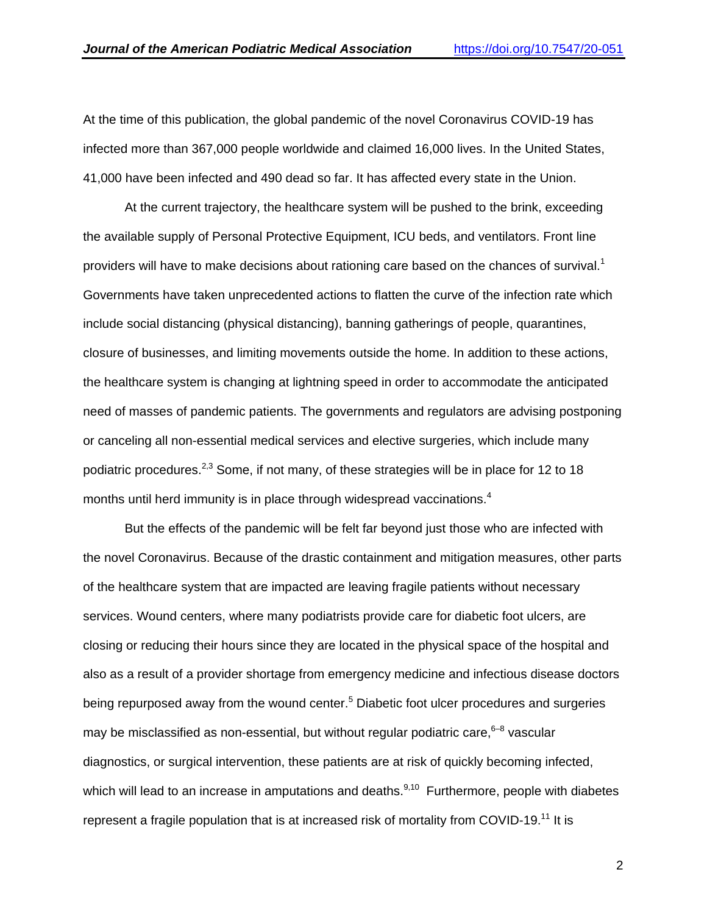At the time of this publication, the global pandemic of the novel Coronavirus COVID-19 has infected more than 367,000 people worldwide and claimed 16,000 lives. In the United States, 41,000 have been infected and 490 dead so far. It has affected every state in the Union.

At the current trajectory, the healthcare system will be pushed to the brink, exceeding the available supply of Personal Protective Equipment, ICU beds, and ventilators. Front line providers will have to make decisions about rationing care based on the chances of survival.<sup>[1](https://paperpile.com/c/iB3Icn/fwcI)</sup> Governments have taken unprecedented actions to flatten the curve of the infection rate which include social distancing (physical distancing), banning gatherings of people, quarantines, closure of businesses, and limiting movements outside the home. In addition to these actions, the healthcare system is changing at lightning speed in order to accommodate the anticipated need of masses of pandemic patients. The governments and regulators are advising postponing or canceling all non-essential medical services and elective surgeries, which include many podiatric procedures.<sup>[2,3](https://paperpile.com/c/iB3Icn/AfEk+TPGE)</sup> Some, if not many, of these strategies will be in place for 12 to 18 months until herd immunity is in place through widespread vaccinations[.](https://paperpile.com/c/iB3Icn/0Jan)<sup>4</sup>

But the effects of the pandemic will be felt far beyond just those who are infected with the novel Coronavirus. Because of the drastic containment and mitigation measures, other parts of the healthcare system that are impacted are leaving fragile patients without necessary services. Wound centers, where many podiatrists provide care for diabetic foot ulcers, are closing or reducing their hours since they are located in the physical space of the hospital and also as a result of a provider shortage from emergency medicine and infectious disease doctors being repurposed away from the wound center.<sup>[5](https://paperpile.com/c/iB3Icn/Y0cW)</sup> Diabetic foot ulcer procedures and surgeries may be misclassified as non-essential, but without regular podiatric care,  $6-8$  vascular diagnostics, or surgical intervention, these patients are at risk of quickly becoming infected, which will lead to an increase in amputations and deaths. $9,10$  Furthermore, people with diabetes represent a fragile population that is at increased risk of mortality from COVID-19.<sup>[11](https://paperpile.com/c/iB3Icn/E2ZG)</sup> It is

2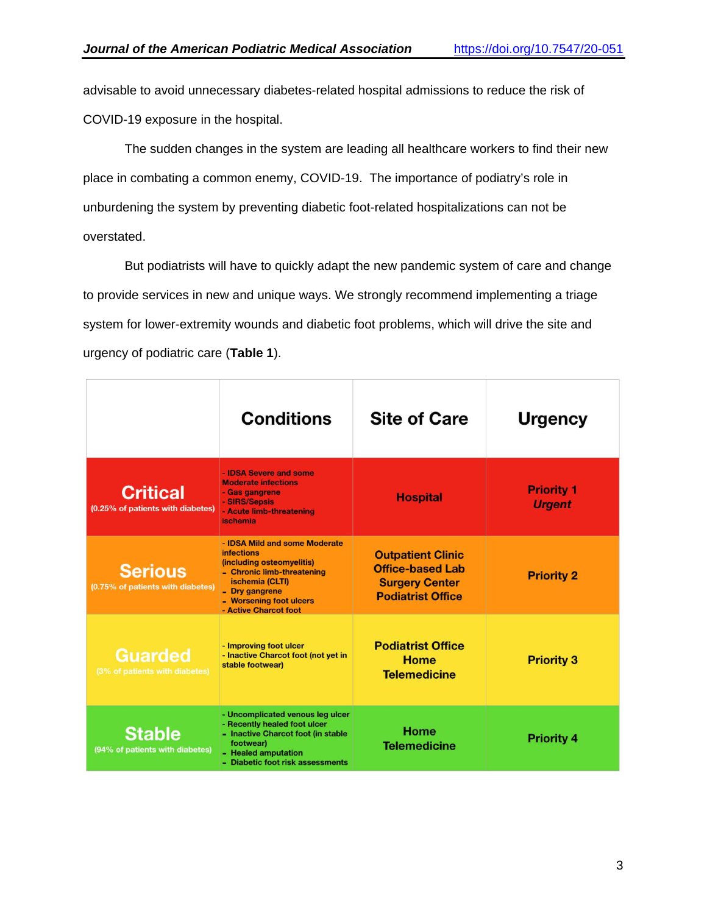advisable to avoid unnecessary diabetes-related hospital admissions to reduce the risk of COVID-19 exposure in the hospital.

The sudden changes in the system are leading all healthcare workers to find their new place in combating a common enemy, COVID-19. The importance of podiatry's role in unburdening the system by preventing diabetic foot-related hospitalizations can not be overstated.

But podiatrists will have to quickly adapt the new pandemic system of care and change to provide services in new and unique ways. We strongly recommend implementing a triage system for lower-extremity wounds and diabetic foot problems, which will drive the site and urgency of podiatric care (**Table 1**).

|                                                      | <b>Conditions</b>                                                                                                                                                                                      | <b>Site of Care</b>                                                                                      | <b>Urgency</b>                     |
|------------------------------------------------------|--------------------------------------------------------------------------------------------------------------------------------------------------------------------------------------------------------|----------------------------------------------------------------------------------------------------------|------------------------------------|
| <b>Critical</b><br>(0.25% of patients with diabetes) | - <b>IDSA</b> Severe and some<br><b>Moderate infections</b><br>- Gas gangrene<br>- SIRS/Sepsis<br>- Acute limb-threatening<br><i>ischemia</i>                                                          | <b>Hospital</b>                                                                                          | <b>Priority 1</b><br><b>Urgent</b> |
| <b>Serious</b><br>(0.75% of patients with diabetes)  | - IDSA Mild and some Moderate<br><i>infections</i><br>(including osteomyelitis)<br>- Chronic limb-threatening<br>ischemia (CLTI)<br>- Dry gangrene<br>- Worsening foot ulcers<br>- Active Charcot foot | <b>Outpatient Clinic</b><br><b>Office-based Lab</b><br><b>Surgery Center</b><br><b>Podiatrist Office</b> | <b>Priority 2</b>                  |
| <b>Guarded</b><br>(3% of patients with diabetes)     | - Improving foot ulcer<br>- Inactive Charcot foot (not yet in<br>stable footwear)                                                                                                                      | <b>Podiatrist Office</b><br>Home<br><b>Telemedicine</b>                                                  | <b>Priority 3</b>                  |
| <b>Stable</b><br>(94% of patients with diabetes)     | - Uncomplicated venous leg ulcer<br>- Recently healed foot ulcer<br>- Inactive Charcot foot (in stable<br>footwear)<br>- Healed amputation<br>- Diabetic foot risk assessments                         | Home<br><b>Telemedicine</b>                                                                              | <b>Priority 4</b>                  |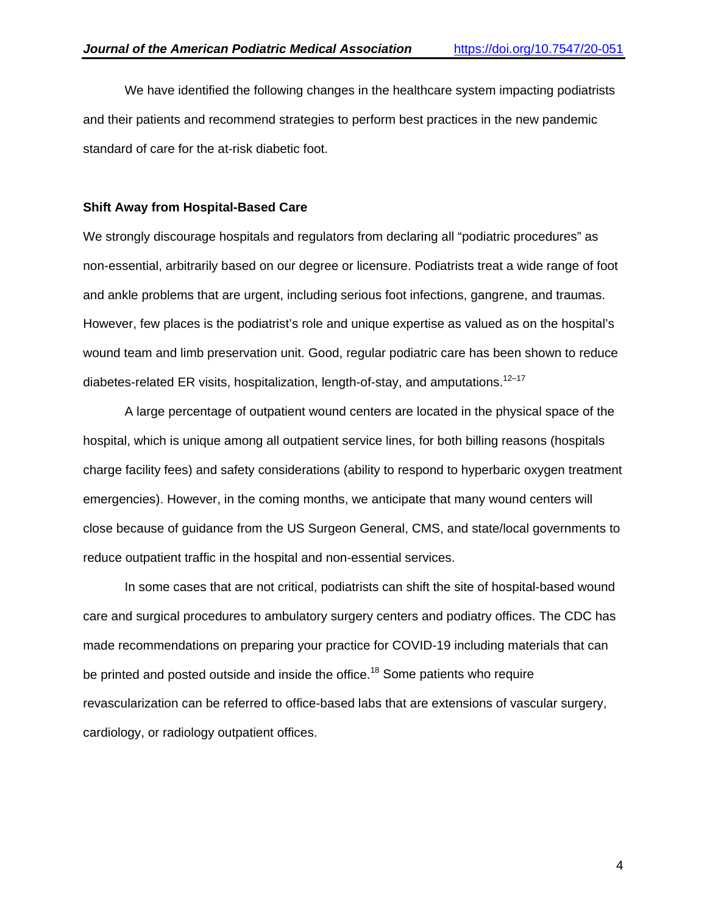We have identified the following changes in the healthcare system impacting podiatrists and their patients and recommend strategies to perform best practices in the new pandemic standard of care for the at-risk diabetic foot.

#### **Shift Away from Hospital-Based Care**

We strongly discourage hospitals and regulators from declaring all "podiatric procedures" as non-essential, arbitrarily based on our degree or licensure. Podiatrists treat a wide range of foot and ankle problems that are urgent, including serious foot infections, gangrene, and traumas. However, few places is the podiatrist's role and unique expertise as valued as on the hospital's wound team and limb preservation unit. Good, regular podiatric care has been shown to reduce diabetes-related ER visits, hospitalization, length-of-stay, and amputations.<sup>[12–17](https://paperpile.com/c/iB3Icn/GTYD+ArBx+hMKl+XpmO+e29T+NerB)</sup>

A large percentage of outpatient wound centers are located in the physical space of the hospital, which is unique among all outpatient service lines, for both billing reasons (hospitals charge facility fees) and safety considerations (ability to respond to hyperbaric oxygen treatment emergencies). However, in the coming months, we anticipate that many wound centers will close because of guidance from the US Surgeon General, CMS, and state/local governments to reduce outpatient traffic in the hospital and non-essential services.

In some cases that are not critical, podiatrists can shift the site of hospital-based wound care and surgical procedures to ambulatory surgery centers and podiatry offices. The CDC has made recommendations on preparing your practice for COVID-19 including materials that can be printed and posted outside and inside the office.<sup>[18](https://paperpile.com/c/iB3Icn/Ydoc)</sup> Some patients who require revascularization can be referred to office-based labs that are extensions of vascular surgery, cardiology, or radiology outpatient offices.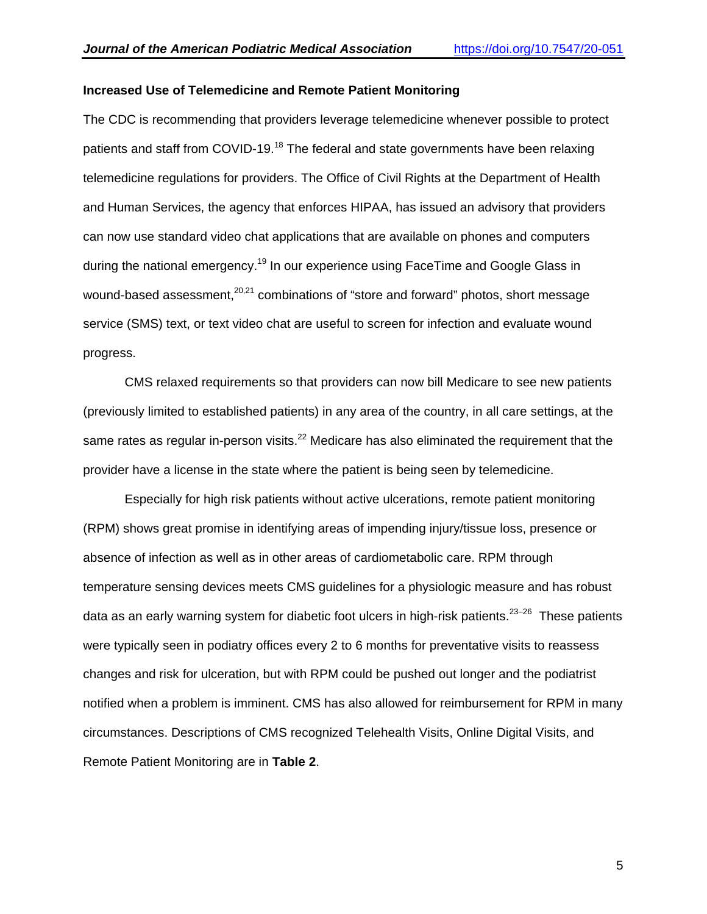## **Increased Use of Telemedicine and Remote Patient Monitoring**

The CDC is recommending that providers leverage telemedicine whenever possible to protect patients and staff from COVID-19.<sup>[18](https://paperpile.com/c/iB3Icn/Ydoc)</sup> The federal and state governments have been relaxing telemedicine regulations for providers. The Office of Civil Rights at the Department of Health and Human Services, the agency that enforces HIPAA, has issued an advisory that providers can now use standard video chat applications that are available on phones and computers during the national emergency.<sup>[19](https://paperpile.com/c/iB3Icn/1i2v)</sup> In our experience using FaceTime and Google Glass in wound-based assessment,<sup>[20,21](https://paperpile.com/c/iB3Icn/4E7S+10OT)</sup> combinations of "store and forward" photos, short message service (SMS) text, or text video chat are useful to screen for infection and evaluate wound progress.

CMS relaxed requirements so that providers can now bill Medicare to see new patients (previously limited to established patients) in any area of the country, in all care settings, at the same rates as regular in-person visits.<sup>[22](https://paperpile.com/c/iB3Icn/01KX)</sup> Medicare has also eliminated the requirement that the provider have a license in the state where the patient is being seen by telemedicine.

Especially for high risk patients without active ulcerations, remote patient monitoring (RPM) shows great promise in identifying areas of impending injury/tissue loss, presence or absence of infection as well as in other areas of cardiometabolic care. RPM through temperature sensing devices meets CMS guidelines for a physiologic measure and has robust data as an early warning system for diabetic foot ulcers in high-risk patients.<sup>23–26</sup> These patients were typically seen in podiatry offices every 2 to 6 months for preventative visits to reassess changes and risk for ulceration, but with RPM could be pushed out longer and the podiatrist notified when a problem is imminent. CMS has also allowed for reimbursement for RPM in many circumstances. Descriptions of CMS recognized Telehealth Visits, Online Digital Visits, and Remote Patient Monitoring are in **Table 2**.

5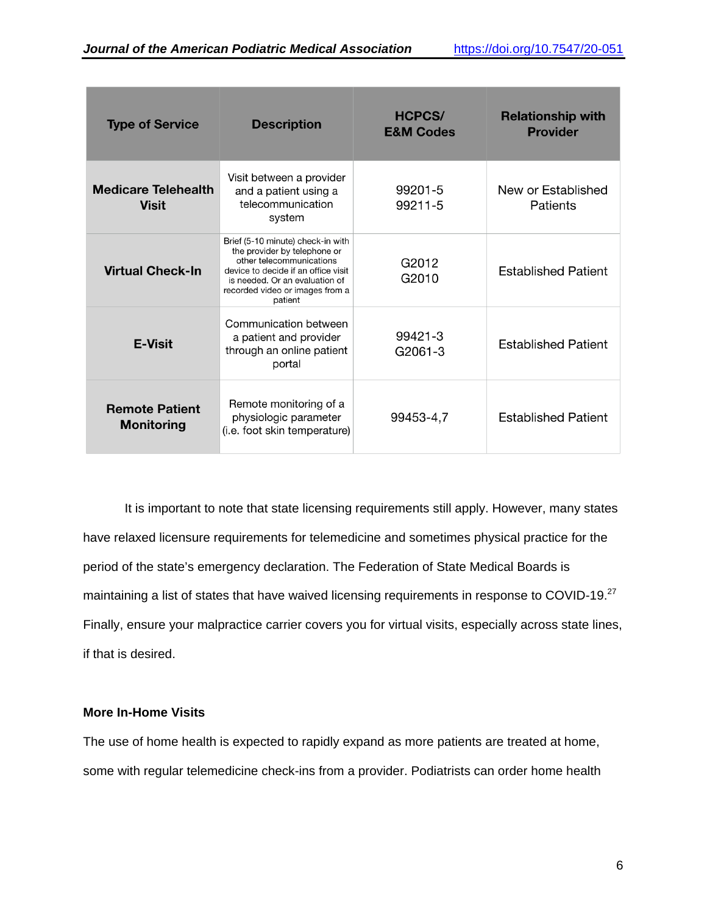| <b>Type of Service</b>                     | <b>Description</b>                                                                                                                                                                                                   | <b>HCPCS/</b><br><b>E&amp;M Codes</b> | <b>Relationship with</b><br><b>Provider</b> |
|--------------------------------------------|----------------------------------------------------------------------------------------------------------------------------------------------------------------------------------------------------------------------|---------------------------------------|---------------------------------------------|
| <b>Medicare Telehealth</b><br><b>Visit</b> | Visit between a provider<br>and a patient using a<br>telecommunication<br>system                                                                                                                                     | 99201-5<br>99211-5                    | New or Established<br>Patients              |
| <b>Virtual Check-In</b>                    | Brief (5-10 minute) check-in with<br>the provider by telephone or<br>other telecommunications<br>device to decide if an office visit<br>is needed. Or an evaluation of<br>recorded video or images from a<br>patient | G2012<br>G2010                        | <b>Established Patient</b>                  |
| <b>E-Visit</b>                             | Communication between<br>a patient and provider<br>through an online patient<br>portal                                                                                                                               | 99421-3<br>G2061-3                    | <b>Established Patient</b>                  |
| <b>Remote Patient</b><br><b>Monitoring</b> | Remote monitoring of a<br>physiologic parameter<br>(i.e. foot skin temperature)                                                                                                                                      | 99453-4,7                             | <b>Established Patient</b>                  |

It is important to note that state licensing requirements still apply. However, many states have relaxed licensure requirements for telemedicine and sometimes physical practice for the period of the state's emergency declaration. The Federation of State Medical Boards is maintaining a list of states that have waived licensing requirements in response to COVID-19.<sup>[27](https://paperpile.com/c/iB3Icn/lm1D)</sup> Finally, ensure your malpractice carrier covers you for virtual visits, especially across state lines, if that is desired.

## **More In-Home Visits**

The use of home health is expected to rapidly expand as more patients are treated at home, some with regular telemedicine check-ins from a provider. Podiatrists can order home health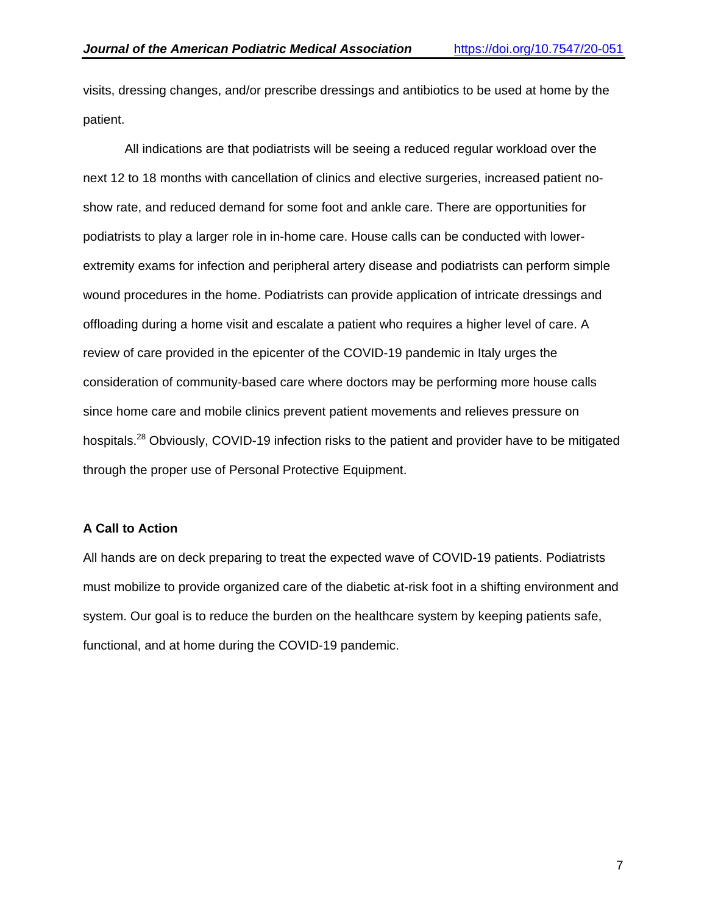visits, dressing changes, and/or prescribe dressings and antibiotics to be used at home by the patient.

All indications are that podiatrists will be seeing a reduced regular workload over the next 12 to 18 months with cancellation of clinics and elective surgeries, increased patient noshow rate, and reduced demand for some foot and ankle care. There are opportunities for podiatrists to play a larger role in in-home care. House calls can be conducted with lowerextremity exams for infection and peripheral artery disease and podiatrists can perform simple wound procedures in the home. Podiatrists can provide application of intricate dressings and offloading during a home visit and escalate a patient who requires a higher level of care. A review of care provided in the epicenter of the COVID-19 pandemic in Italy urges the consideration of community-based care where doctors may be performing more house calls since home care and mobile clinics prevent patient movements and relieves pressure on hospitals.<sup>[28](https://paperpile.com/c/iB3Icn/g4x6)</sup> Obviously, COVID-19 infection risks to the patient and provider have to be mitigated through the proper use of Personal Protective Equipment.

## **A Call to Action**

All hands are on deck preparing to treat the expected wave of COVID-19 patients. Podiatrists must mobilize to provide organized care of the diabetic at-risk foot in a shifting environment and system. Our goal is to reduce the burden on the healthcare system by keeping patients safe, functional, and at home during the COVID-19 pandemic.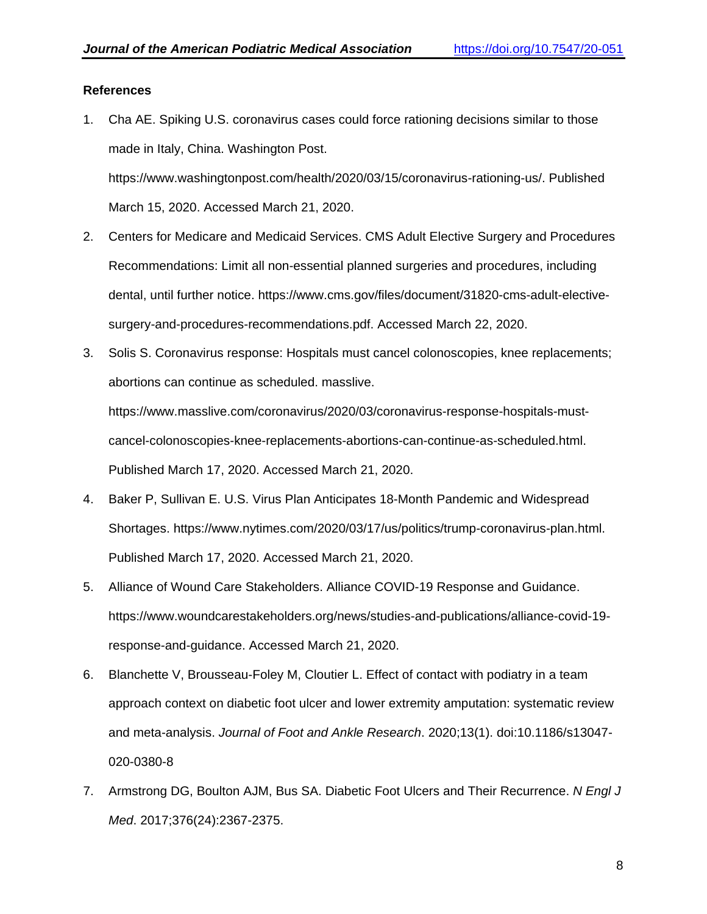## **References**

- 1. [Cha AE. Spiking U.S. coronavirus cases could force rationing decisions similar to those](http://paperpile.com/b/iB3Icn/fwcI)  [made in Italy, China. Washington Post.](http://paperpile.com/b/iB3Icn/fwcI)  [https://www.washingtonpost.com/health/2020/03/15/coronavirus-rationing-us/.](https://www.washingtonpost.com/health/2020/03/15/coronavirus-rationing-us/) [Published](https://www.washingtonpost.com/health/2020/03/15/coronavirus-rationing-us/)  [March 15, 2020. Accessed March 21, 2020.](http://paperpile.com/b/iB3Icn/fwcI)
- 2. [Centers for Medicare and Medicaid Services. CMS Adult Elective Surgery and Procedures](http://paperpile.com/b/iB3Icn/AfEk)  [Recommendations: Limit all non-essential planned surgeries and procedures, including](http://paperpile.com/b/iB3Icn/AfEk)  [dental, until further notice. https://www.cms.gov/files/document/31820-cms-adult-elective](http://paperpile.com/b/iB3Icn/AfEk)[surgery-and-procedures-recommendations.pdf.](https://www.cms.gov/files/document/31820-cms-adult-elective-surgery-and-procedures-recommendations.pdf.) [Accessed March 22, 2020.](https://www.cms.gov/files/document/31820-cms-adult-elective-surgery-and-procedures-recommendations.pdf.)
- 3. [Solis S. Coronavirus response: Hospitals must cancel colonoscopies, knee replacements;](http://paperpile.com/b/iB3Icn/TPGE)  [abortions can continue as scheduled. masslive.](http://paperpile.com/b/iB3Icn/TPGE)

[https://www.masslive.com/coronavirus/2020/03/coronavirus-response-hospitals-must](https://www.masslive.com/coronavirus/2020/03/coronavirus-response-hospitals-must-cancel-colonoscopies-knee-replacements-abortions-can-continue-as-scheduled.html.)[cancel-colonoscopies-knee-replacements-abortions-can-continue-as-scheduled.html.](https://www.masslive.com/coronavirus/2020/03/coronavirus-response-hospitals-must-cancel-colonoscopies-knee-replacements-abortions-can-continue-as-scheduled.html.) [Published March 17, 2020. Accessed March 21, 2020.](http://paperpile.com/b/iB3Icn/TPGE)

- 4. Baker P, [Sullivan E. U.S. Virus Plan Anticipates 18-Month Pandemic and Widespread](http://paperpile.com/b/iB3Icn/0Jan)  [Shortages.](http://paperpile.com/b/iB3Icn/0Jan) <https://www.nytimes.com/2020/03/17/us/politics/trump-coronavirus-plan.html.> [Published March 17, 2020. Accessed March 21, 2020.](http://paperpile.com/b/iB3Icn/0Jan)
- 5. [Alliance of Wound Care Stakeholders. Alliance COVID-19 Response and Guidance.](http://paperpile.com/b/iB3Icn/Y0cW)  [https://www.woundcarestakeholders.org/news/studies-and-publications/alliance-covid-19](https://www.woundcarestakeholders.org/news/studies-and-publications/alliance-covid-19-response-and-guidance.) [response-and-guidance.](https://www.woundcarestakeholders.org/news/studies-and-publications/alliance-covid-19-response-and-guidance.) [Accessed March 21, 2020.](http://paperpile.com/b/iB3Icn/Y0cW)
- 6. [Blanchette V, Brousseau-Foley M, Cloutier L. Effect of contact with podiatry in a team](http://paperpile.com/b/iB3Icn/n7GI)  [approach context on diabetic foot ulcer and lower extremity amputation: systematic review](http://paperpile.com/b/iB3Icn/n7GI)  [and meta-analysis.](http://paperpile.com/b/iB3Icn/n7GI) *[Journal of Foot and Ankle Research](http://paperpile.com/b/iB3Icn/n7GI)*[. 2020;13\(1\). doi:10.1186/s13047-](http://paperpile.com/b/iB3Icn/n7GI) [020-0380-8](http://dx.doi.org/10.1186/s13047-020-0380-8)
- 7. [Armstrong DG, Boulton AJM, Bus SA. Diabetic Foot Ulcers and Their Recurrence.](http://paperpile.com/b/iB3Icn/z3Ci) *[N Engl J](http://paperpile.com/b/iB3Icn/z3Ci)  [Med](http://paperpile.com/b/iB3Icn/z3Ci)*[. 2017;376\(24\):2367-2375.](http://paperpile.com/b/iB3Icn/z3Ci)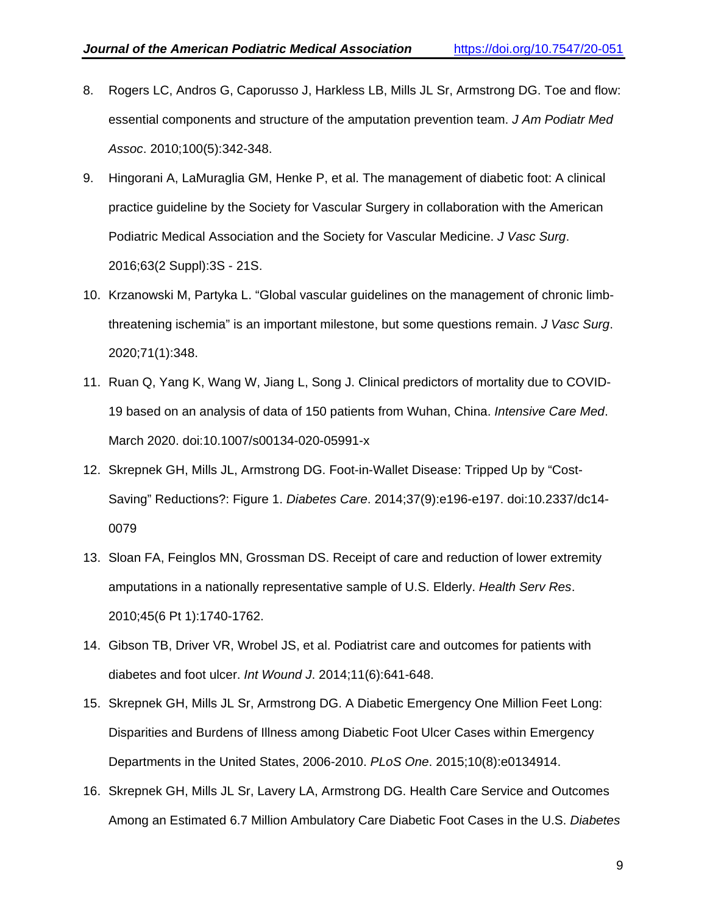- 8. [Rogers LC, Andros G, Caporusso J, Harkless LB, Mills JL Sr, Armstrong DG. Toe and flow:](http://paperpile.com/b/iB3Icn/kKf9)  [essential components and structure of the amputation prevention team.](http://paperpile.com/b/iB3Icn/kKf9) *[J Am Podiatr Med](http://paperpile.com/b/iB3Icn/kKf9)  [Assoc](http://paperpile.com/b/iB3Icn/kKf9)*[. 2010;100\(5\):342-348.](http://paperpile.com/b/iB3Icn/kKf9)
- 9. Hingorani A, LaMuraglia [GM, Henke P, et al. The management of diabetic foot: A clinical](http://paperpile.com/b/iB3Icn/64aA)  [practice guideline by the Society for Vascular Surgery in collaboration with the American](http://paperpile.com/b/iB3Icn/64aA)  [Podiatric Medical Association and the Society for Vascular Medicine.](http://paperpile.com/b/iB3Icn/64aA) *[J Vasc Surg](http://paperpile.com/b/iB3Icn/64aA)*[.](http://paperpile.com/b/iB3Icn/64aA)  [2016;63\(2 Suppl\):3S -](http://paperpile.com/b/iB3Icn/64aA) 21S.
- 10. [Krzanowski M, Partyka L. "Global vascular guidelines on the management of chronic](http://paperpile.com/b/iB3Icn/bPJP) limb[threatening ischemia" is an important milestone, but some questions remain.](http://paperpile.com/b/iB3Icn/bPJP) *[J Vasc Surg](http://paperpile.com/b/iB3Icn/bPJP)*[.](http://paperpile.com/b/iB3Icn/bPJP)  [2020;71\(1\):348.](http://paperpile.com/b/iB3Icn/bPJP)
- 11. [Ruan Q, Yang K, Wang W, Jiang L, Song J. Clinical predictors of mortality due to COVID-](http://paperpile.com/b/iB3Icn/E2ZG)[19 based on an analysis of data of 150 patients from Wuhan, China.](http://paperpile.com/b/iB3Icn/E2ZG) *[Intensive Care Med](http://paperpile.com/b/iB3Icn/E2ZG)*[.](http://paperpile.com/b/iB3Icn/E2ZG)  [March 2020. doi:10.1007/s00134-020-05991-x](http://paperpile.com/b/iB3Icn/E2ZG)
- 12. [Skrepnek GH, Mills JL, Armstrong DG. Foot-in-Wallet Disease: Tripped Up by "Cost-](http://paperpile.com/b/iB3Icn/GTYD)[Saving" Reductions?: Figure 1.](http://paperpile.com/b/iB3Icn/GTYD) *[Diabetes Care](http://paperpile.com/b/iB3Icn/GTYD)*[. 2014;37\(9\):e196-e197. doi:](http://paperpile.com/b/iB3Icn/GTYD)[10.2337/dc14-](http://dx.doi.org/10.2337/dc14-0079) [0079](http://dx.doi.org/10.2337/dc14-0079)
- 13. [Sloan FA, Feinglos MN, Grossman DS. Receipt of care and reduction of lower extremity](http://paperpile.com/b/iB3Icn/ArBx)  [amputations in a nationally representative sample of U.S. Elderly.](http://paperpile.com/b/iB3Icn/ArBx) *[Health Serv Res](http://paperpile.com/b/iB3Icn/ArBx)*[.](http://paperpile.com/b/iB3Icn/ArBx)  [2010;45\(6 Pt 1\):1740-1762.](http://paperpile.com/b/iB3Icn/ArBx)
- 14. [Gibson TB, Driver VR, Wrobel JS, et al. Podiatrist care and outcomes for patients with](http://paperpile.com/b/iB3Icn/hMKl)  [diabetes and foot ulcer.](http://paperpile.com/b/iB3Icn/hMKl) *[Int Wound J](http://paperpile.com/b/iB3Icn/hMKl)*[. 2014;11\(6\):641-648.](http://paperpile.com/b/iB3Icn/hMKl)
- 15. [Skrepnek GH, Mills JL Sr, Armstrong DG. A Diabetic Emergency One Million Feet Long:](http://paperpile.com/b/iB3Icn/XpmO)  [Disparities and Burdens of Illness among Diabetic Foot Ulcer Cases within Emergency](http://paperpile.com/b/iB3Icn/XpmO)  [Departments in the United States, 2006-2010.](http://paperpile.com/b/iB3Icn/XpmO) *[PLoS One](http://paperpile.com/b/iB3Icn/XpmO)*[. 2015;10\(8\):e0134914.](http://paperpile.com/b/iB3Icn/XpmO)
- 16. [Skrepnek GH, Mills JL Sr, Lavery LA, Armstrong DG. Health Care Service and Outcomes](http://paperpile.com/b/iB3Icn/e29T)  [Among an Estimated 6.7 Million Ambulatory Care Diabetic Foot Cases in the U.S.](http://paperpile.com/b/iB3Icn/e29T) *[Diabetes](http://paperpile.com/b/iB3Icn/e29T)*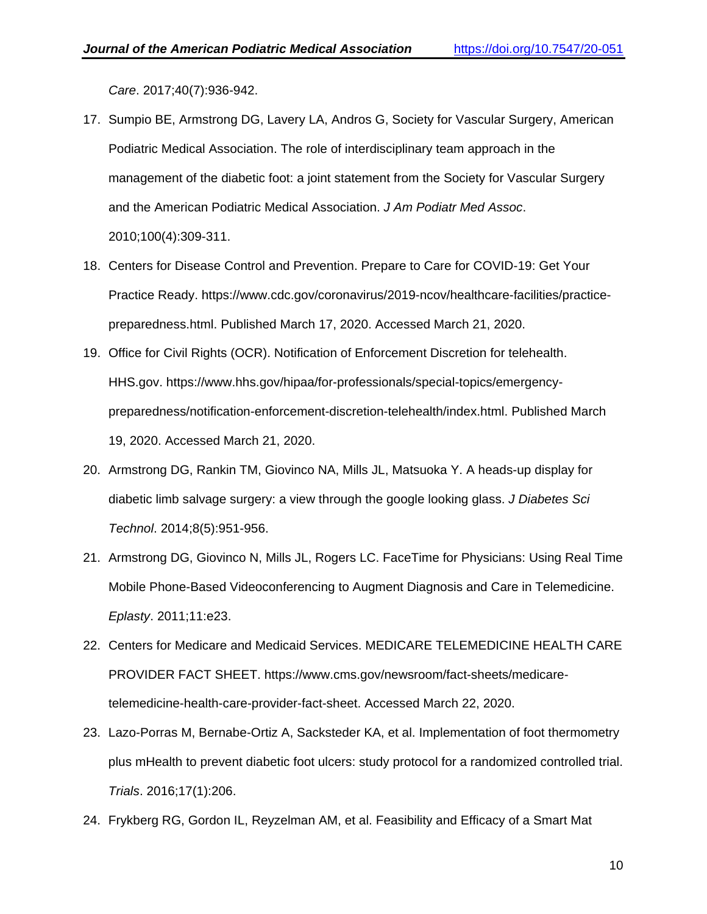*[Care](http://paperpile.com/b/iB3Icn/e29T)*[. 2017;40\(7\):936-942.](http://paperpile.com/b/iB3Icn/e29T)

- 17. [Sumpio BE, Armstrong DG, Lavery LA, Andros G, Society for Vascular Surgery, American](http://paperpile.com/b/iB3Icn/NerB)  [Podiatric Medical Association. The role of interdisciplinary team approach in the](http://paperpile.com/b/iB3Icn/NerB)  [management of the diabetic foot: a joint statement from the Society for Vascular Surgery](http://paperpile.com/b/iB3Icn/NerB)  [and the American Podiatric Medical Association.](http://paperpile.com/b/iB3Icn/NerB) *[J Am Podiatr Med Assoc](http://paperpile.com/b/iB3Icn/NerB)*[.](http://paperpile.com/b/iB3Icn/NerB)  [2010;100\(4\):309-311.](http://paperpile.com/b/iB3Icn/NerB)
- 18. [Centers for Disease Control and Prevention. Prepare to Care for COVID-19: Get Your](http://paperpile.com/b/iB3Icn/Ydoc)  [Practice Ready.](http://paperpile.com/b/iB3Icn/Ydoc) [https://www.cdc.gov/coronavirus/2019-ncov/healthcare-facilities/practice](https://www.cdc.gov/coronavirus/2019-ncov/healthcare-facilities/practice-preparedness.html.)[preparedness.html.](https://www.cdc.gov/coronavirus/2019-ncov/healthcare-facilities/practice-preparedness.html.) [Published March 17, 2020. Accessed March 21, 2020.](http://paperpile.com/b/iB3Icn/Ydoc)
- 19. [Office for Civil Rights \(OCR\). Notification of Enforcement Discretion for telehealth.](http://paperpile.com/b/iB3Icn/1i2v)  [HHS.gov.](http://paperpile.com/b/iB3Icn/1i2v) [https://www.hhs.gov/hipaa/for-professionals/special-topics/emergency](https://www.hhs.gov/hipaa/for-professionals/special-topics/emergency-preparedness/notification-enforcement-discretion-telehealth/index.html.)[preparedness/notification-enforcement-discretion-telehealth/index.html.](https://www.hhs.gov/hipaa/for-professionals/special-topics/emergency-preparedness/notification-enforcement-discretion-telehealth/index.html.) [Published March](http://paperpile.com/b/iB3Icn/1i2v)  [19, 2020. Accessed March 21,](http://paperpile.com/b/iB3Icn/1i2v) 2020.
- 20. [Armstrong DG, Rankin TM, Giovinco NA, Mills JL, Matsuoka Y. A heads-up display for](http://paperpile.com/b/iB3Icn/4E7S)  [diabetic limb salvage surgery: a view through the google looking glass.](http://paperpile.com/b/iB3Icn/4E7S) *[J Diabetes Sci](http://paperpile.com/b/iB3Icn/4E7S)  [Technol](http://paperpile.com/b/iB3Icn/4E7S)*[. 2014;8\(5\):951-956.](http://paperpile.com/b/iB3Icn/4E7S)
- 21. [Armstrong DG, Giovinco N, Mills JL, Rogers LC. FaceTime for Physicians: Using Real Time](http://paperpile.com/b/iB3Icn/10OT)  [Mobile Phone-Based Videoconferencing to Augment Diagnosis and Care in Telemedicine.](http://paperpile.com/b/iB3Icn/10OT)  *[Eplasty](http://paperpile.com/b/iB3Icn/10OT)*[. 2011;11:e23.](http://paperpile.com/b/iB3Icn/10OT)
- 22. [Centers for Medicare and Medicaid Services. MEDICARE TELEMEDICINE HEALTH CARE](http://paperpile.com/b/iB3Icn/01KX)  [PROVIDER FACT SHEET.](http://paperpile.com/b/iB3Icn/01KX) [https://www.cms.gov/newsroom/fact-sheets/medicare](https://www.cms.gov/newsroom/fact-sheets/medicare-telemedicine-health-care-provider-fact-sheet.)[telemedicine-health-care-provider-fact-sheet.](https://www.cms.gov/newsroom/fact-sheets/medicare-telemedicine-health-care-provider-fact-sheet.) [Accessed March 22, 2020.](http://paperpile.com/b/iB3Icn/01KX)
- 23. [Lazo-Porras M, Bernabe-Ortiz A, Sacksteder KA, et al. Implementation of foot thermometry](http://paperpile.com/b/iB3Icn/uZmJ)  [plus mHealth to prevent diabetic foot ulcers: study protocol for a randomized controlled trial.](http://paperpile.com/b/iB3Icn/uZmJ)  *[Trials](http://paperpile.com/b/iB3Icn/uZmJ)*[. 2016;17\(1\):206.](http://paperpile.com/b/iB3Icn/uZmJ)
- 24. [Frykberg RG, Gordon IL, Reyzelman AM, et al. Feasibility and Efficacy of a Smart Mat](http://paperpile.com/b/iB3Icn/395w)